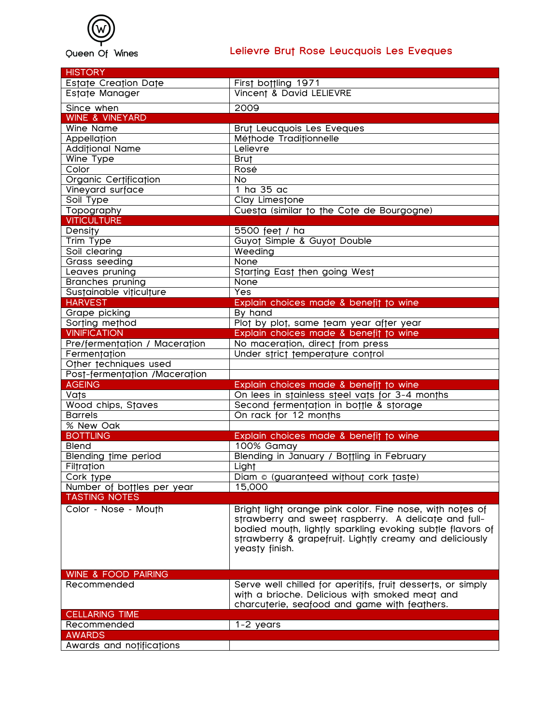

## **Lelievre Brut Rose Leucquois Les Eveques**

| <b>HISTORY</b>                 |                                                                                                                                                                                                                                                            |
|--------------------------------|------------------------------------------------------------------------------------------------------------------------------------------------------------------------------------------------------------------------------------------------------------|
| Estate Creation Date           | First bottling 1971                                                                                                                                                                                                                                        |
| Estate Manager                 | Vincent & David LELIEVRE                                                                                                                                                                                                                                   |
| Since when                     | 2009                                                                                                                                                                                                                                                       |
| <b>WINE &amp; VINEYARD</b>     |                                                                                                                                                                                                                                                            |
| Wine Name                      | Brut Leucquois Les Eveques                                                                                                                                                                                                                                 |
| Appellation                    | Méthode Traditionnelle                                                                                                                                                                                                                                     |
| <b>Additional Name</b>         | Lelievre                                                                                                                                                                                                                                                   |
| Wine Type                      | <b>Brut</b>                                                                                                                                                                                                                                                |
| Color                          | Rosé                                                                                                                                                                                                                                                       |
| Organic Certification          | <b>No</b>                                                                                                                                                                                                                                                  |
| Vineyard surface               | 1 ha 35 ac                                                                                                                                                                                                                                                 |
| Soil Type                      | Clay Limestone                                                                                                                                                                                                                                             |
| Topography                     | Cuesta (similar to the Cote de Bourgogne)                                                                                                                                                                                                                  |
| <b>VITICULTURE</b>             |                                                                                                                                                                                                                                                            |
| <b>Density</b>                 | 5500 feet / ha                                                                                                                                                                                                                                             |
| <b>Trim Type</b>               | Guyot Simple & Guyot Double                                                                                                                                                                                                                                |
| Soil clearing                  | Weeding                                                                                                                                                                                                                                                    |
| Grass seeding                  | <b>None</b>                                                                                                                                                                                                                                                |
| Leaves pruning                 | Starting East then going West                                                                                                                                                                                                                              |
| <b>Branches pruning</b>        | None                                                                                                                                                                                                                                                       |
| Sustainable viticulture        | Yes                                                                                                                                                                                                                                                        |
| <b>HARVEST</b>                 | Explain choices made & benefit to wine                                                                                                                                                                                                                     |
| Grape picking                  | By hand                                                                                                                                                                                                                                                    |
| Sorting method                 | Plot by plot, same team year after year                                                                                                                                                                                                                    |
| <b>VINIFICATION</b>            | Explain choices made & benefit to wine                                                                                                                                                                                                                     |
| Pre/fermentation / Maceration  | No maceration, direct from press                                                                                                                                                                                                                           |
| Fermentation                   | Under strict temperature control                                                                                                                                                                                                                           |
| Other techniques used          |                                                                                                                                                                                                                                                            |
| Post-fermentation /Maceration  |                                                                                                                                                                                                                                                            |
| <b>AGEING</b>                  | Explain choices made & benefit to wine                                                                                                                                                                                                                     |
| Vats                           | On lees in stainless steel vats for 3-4 months                                                                                                                                                                                                             |
| Wood chips, Staves             | Second fermentation in bottle & storage                                                                                                                                                                                                                    |
| <b>Barrels</b>                 | On rack for 12 months                                                                                                                                                                                                                                      |
| % New Oak                      |                                                                                                                                                                                                                                                            |
| <b>BOTTLING</b>                | Explain choices made & benefit to wine                                                                                                                                                                                                                     |
| <b>Blend</b>                   | 100% Gamay                                                                                                                                                                                                                                                 |
| <b>Blending time period</b>    | Blending in January / Bottling in February                                                                                                                                                                                                                 |
| Filtration                     | Light                                                                                                                                                                                                                                                      |
| Cork type                      | Diam © (guaranteed without cork taste)                                                                                                                                                                                                                     |
| Number of bottles per year     | 15,000                                                                                                                                                                                                                                                     |
| <b>TASTING NOTES</b>           |                                                                                                                                                                                                                                                            |
| Color - Nose - Mouth           | Bright light orange pink color. Fine nose, with notes of<br>strawberry and sweet raspberry. A delicate and full-<br>bodied mouth, lightly sparkling evoking subtle flavors of<br>strawberry & grapefruit. Lightly creamy and deliciously<br>yeasty finish. |
| <b>WINE &amp; FOOD PAIRING</b> |                                                                                                                                                                                                                                                            |
| Recommended                    | Serve well chilled for aperitifs, fruit desserts, or simply<br>with a brioche. Delicious with smoked meat and<br>charcuterie, seafood and game with feathers.                                                                                              |
| <b>CELLARING TIME</b>          |                                                                                                                                                                                                                                                            |
| Recommended                    | $1-2$ years                                                                                                                                                                                                                                                |
| <b>AWARDS</b>                  |                                                                                                                                                                                                                                                            |
| Awards and notifications       |                                                                                                                                                                                                                                                            |